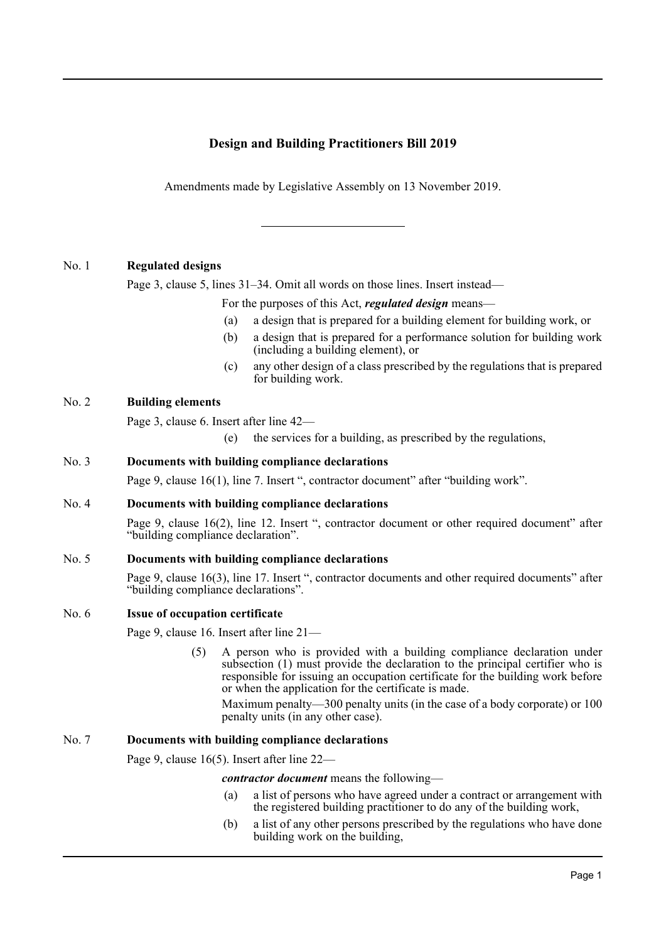# **Design and Building Practitioners Bill 2019**

Amendments made by Legislative Assembly on 13 November 2019.

### No. 1 **Regulated designs**

Page 3, clause 5, lines 31–34. Omit all words on those lines. Insert instead—

For the purposes of this Act, *regulated design* means—

- (a) a design that is prepared for a building element for building work, or
- (b) a design that is prepared for a performance solution for building work (including a building element), or
- (c) any other design of a class prescribed by the regulations that is prepared for building work.

### No. 2 **Building elements**

Page 3, clause 6. Insert after line 42—

(e) the services for a building, as prescribed by the regulations,

#### No. 3 **Documents with building compliance declarations**

Page 9, clause 16(1), line 7. Insert ", contractor document" after "building work".

#### No. 4 **Documents with building compliance declarations**

Page 9, clause 16(2), line 12. Insert ", contractor document or other required document" after "building compliance declaration".

### No. 5 **Documents with building compliance declarations**

Page 9, clause 16(3), line 17. Insert ", contractor documents and other required documents" after "building compliance declarations".

#### No. 6 **Issue of occupation certificate**

Page 9, clause 16. Insert after line 21—

(5) A person who is provided with a building compliance declaration under subsection (1) must provide the declaration to the principal certifier who is responsible for issuing an occupation certificate for the building work before or when the application for the certificate is made.

Maximum penalty—300 penalty units (in the case of a body corporate) or 100 penalty units (in any other case).

### No. 7 **Documents with building compliance declarations**

Page 9, clause 16(5). Insert after line 22—

#### *contractor document* means the following—

- (a) a list of persons who have agreed under a contract or arrangement with the registered building practitioner to do any of the building work,
- (b) a list of any other persons prescribed by the regulations who have done building work on the building,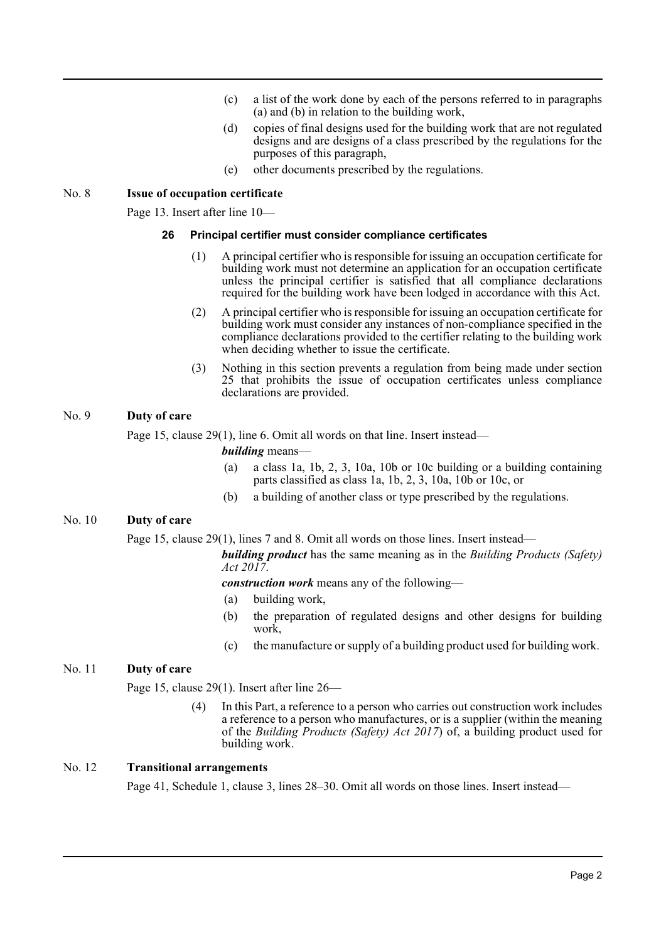- (c) a list of the work done by each of the persons referred to in paragraphs (a) and (b) in relation to the building work,
- (d) copies of final designs used for the building work that are not regulated designs and are designs of a class prescribed by the regulations for the purposes of this paragraph,
- (e) other documents prescribed by the regulations.

#### No. 8 **Issue of occupation certificate**

Page 13. Insert after line 10—

#### **26 Principal certifier must consider compliance certificates**

- (1) A principal certifier who is responsible for issuing an occupation certificate for building work must not determine an application for an occupation certificate unless the principal certifier is satisfied that all compliance declarations required for the building work have been lodged in accordance with this Act.
- (2) A principal certifier who is responsible for issuing an occupation certificate for building work must consider any instances of non-compliance specified in the compliance declarations provided to the certifier relating to the building work when deciding whether to issue the certificate.
- (3) Nothing in this section prevents a regulation from being made under section 25 that prohibits the issue of occupation certificates unless compliance declarations are provided.

### No. 9 **Duty of care**

Page 15, clause 29(1), line 6. Omit all words on that line. Insert instead—

#### *building* means—

- (a) a class 1a, 1b, 2, 3, 10a, 10b or 10c building or a building containing parts classified as class 1a, 1b, 2, 3, 10a, 10b or 10c, or
- (b) a building of another class or type prescribed by the regulations.

### No. 10 **Duty of care**

Page 15, clause 29(1), lines 7 and 8. Omit all words on those lines. Insert instead—

*building product* has the same meaning as in the *Building Products (Safety) Act 2017*.

*construction work* means any of the following—

- (a) building work,
- (b) the preparation of regulated designs and other designs for building work,
- (c) the manufacture or supply of a building product used for building work.

### No. 11 **Duty of care**

Page 15, clause 29(1). Insert after line 26—

(4) In this Part, a reference to a person who carries out construction work includes a reference to a person who manufactures, or is a supplier (within the meaning of the *Building Products (Safety) Act 2017*) of, a building product used for building work.

## No. 12 **Transitional arrangements**

Page 41, Schedule 1, clause 3, lines 28–30. Omit all words on those lines. Insert instead—